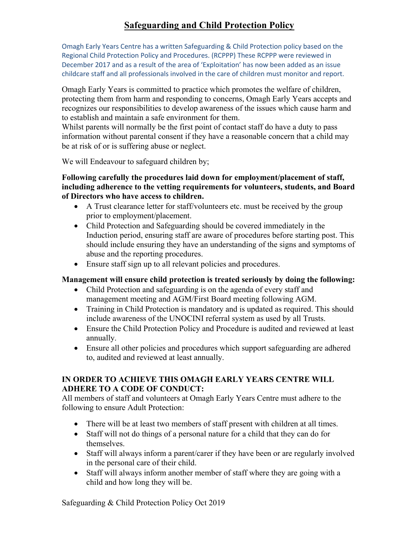### **Safeguarding and Child Protection Policy**

Omagh Early Years Centre has a written Safeguarding & Child Protection policy based on the Regional Child Protection Policy and Procedures. (RCPPP) These RCPPP were reviewed in December 2017 and as a result of the area of 'Exploitation' has now been added as an issue childcare staff and all professionals involved in the care of children must monitor and report.

Omagh Early Years is committed to practice which promotes the welfare of children, protecting them from harm and responding to concerns, Omagh Early Years accepts and recognizes our responsibilities to develop awareness of the issues which cause harm and to establish and maintain a safe environment for them.

Whilst parents will normally be the first point of contact staff do have a duty to pass information without parental consent if they have a reasonable concern that a child may be at risk of or is suffering abuse or neglect.

We will Endeavour to safeguard children by;

#### **Following carefully the procedures laid down for employment/placement of staff, including adherence to the vetting requirements for volunteers, students, and Board of Directors who have access to children.**

- A Trust clearance letter for staff/volunteers etc. must be received by the group prior to employment/placement.
- Child Protection and Safeguarding should be covered immediately in the Induction period, ensuring staff are aware of procedures before starting post. This should include ensuring they have an understanding of the signs and symptoms of abuse and the reporting procedures.
- Ensure staff sign up to all relevant policies and procedures.

#### **Management will ensure child protection is treated seriously by doing the following:**

- Child Protection and safeguarding is on the agenda of every staff and management meeting and AGM/First Board meeting following AGM.
- Training in Child Protection is mandatory and is updated as required. This should include awareness of the UNOCINI referral system as used by all Trusts.
- Ensure the Child Protection Policy and Procedure is audited and reviewed at least annually.
- Ensure all other policies and procedures which support safeguarding are adhered to, audited and reviewed at least annually.

#### **IN ORDER TO ACHIEVE THIS OMAGH EARLY YEARS CENTRE WILL ADHERE TO A CODE OF CONDUCT:**

All members of staff and volunteers at Omagh Early Years Centre must adhere to the following to ensure Adult Protection:

- There will be at least two members of staff present with children at all times.
- Staff will not do things of a personal nature for a child that they can do for themselves.
- Staff will always inform a parent/carer if they have been or are regularly involved in the personal care of their child.
- Staff will always inform another member of staff where they are going with a child and how long they will be.

Safeguarding & Child Protection Policy Oct 2019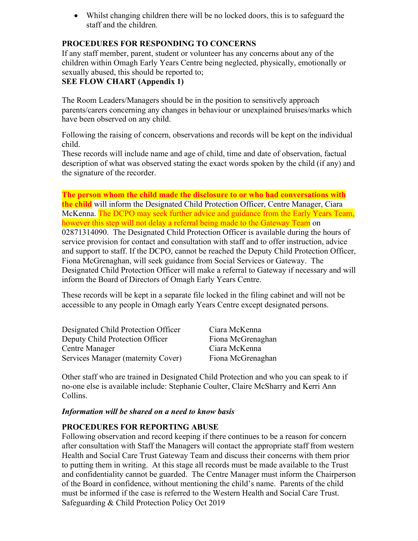• Whilst changing children there will be no locked doors, this is to safeguard the staff and the children.

#### **PROCEDURES FOR RESPONDING TO CONCERNS**

If any staff member, parent, student or volunteer has any concerns about any of the children within Omagh Early Years Centre being neglected, physically, emotionally or sexually abused, this should be reported to;

#### **SEE FLOW CHART (Appendix 1)**

The Room Leaders/Managers should be in the position to sensitively approach parents/carers concerning any changes in behaviour or unexplained bruises/marks which have been observed on any child.

Following the raising of concern, observations and records will be kept on the individual child.

These records will include name and age of child, time and date of observation, factual description of what was observed stating the exact words spoken by the child (if any) and the signature of the recorder.

**The person whom the child made the disclosure to or who had conversations with the child** will inform the Designated Child Protection Officer, Centre Manager, Ciara McKenna. The DCPO may seek further advice and guidance from the Early Years Team, however this step will not delay a referral being made to the Gateway Team on 02871314090. The Designated Child Protection Officer is available during the hours of service provision for contact and consultation with staff and to offer instruction, advice and support to staff. If the DCPO, cannot be reached the Deputy Child Protection Officer, Fiona McGrenaghan, will seek guidance from Social Services or Gateway. The Designated Child Protection Officer will make a referral to Gateway if necessary and will inform the Board of Directors of Omagh Early Years Centre.

These records will be kept in a separate file locked in the filing cabinet and will not be accessible to any people in Omagh early Years Centre except designated persons.

| Designated Child Protection Officer | Ciara McKenna     |
|-------------------------------------|-------------------|
| Deputy Child Protection Officer     | Fiona McGrenaghan |
| Centre Manager                      | Ciara McKenna     |
| Services Manager (maternity Cover)  | Fiona McGrenaghan |

Other staff who are trained in Designated Child Protection and who you can speak to if no-one else is available include: Stephanie Coulter, Claire McSharry and Kerri Ann Collins.

#### *Information will be shared on a need to know basis*

#### **PROCEDURES FOR REPORTING ABUSE**

Safeguarding & Child Protection Policy Oct 2019 Following observation and record keeping if there continues to be a reason for concern after consultation with Staff the Managers will contact the appropriate staff from western Health and Social Care Trust Gateway Team and discuss their concerns with them prior to putting them in writing. At this stage all records must be made available to the Trust and confidentiality cannot be guarded. The Centre Manager must inform the Chairperson of the Board in confidence, without mentioning the child's name. Parents of the child must be informed if the case is referred to the Western Health and Social Care Trust.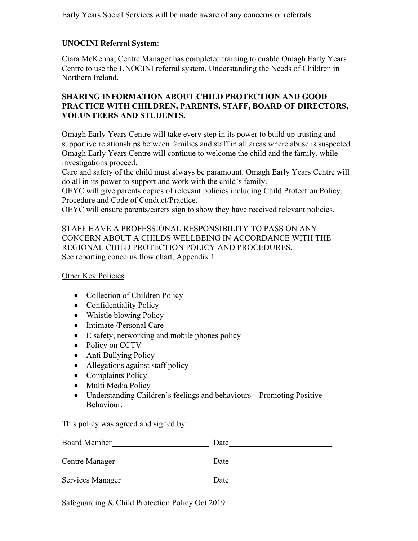Early Years Social Services will be made aware of any concerns or referrals.

#### **UNOCINI Referral System**:

Ciara McKenna, Centre Manager has completed training to enable Omagh Early Years Centre to use the UNOCINI referral system, Understanding the Needs of Children in Northern Ireland.

#### **SHARING INFORMATION ABOUT CHILD PROTECTION AND GOOD PRACTICE WITH CHILDREN, PARENTS, STAFF, BOARD OF DIRECTORS, VOLUNTEERS AND STUDENTS.**

Omagh Early Years Centre will take every step in its power to build up trusting and supportive relationships between families and staff in all areas where abuse is suspected. Omagh Early Years Centre will continue to welcome the child and the family, while investigations proceed.

Care and safety of the child must always be paramount. Omagh Early Years Centre will do all in its power to support and work with the child's family.

OEYC will give parents copies of relevant policies including Child Protection Policy, Procedure and Code of Conduct/Practice.

OEYC will ensure parents/carers sign to show they have received relevant policies.

#### STAFF HAVE A PROFESSIONAL RESPONSIBILITY TO PASS ON ANY CONCERN ABOUT A CHILDS WELLBEING IN ACCORDANCE WITH THE REGIONAL CHILD PROTECTION POLICY AND PROCEDURES. See reporting concerns flow chart, Appendix 1

Other Key Policies

- Collection of Children Policy
- Confidentiality Policy
- Whistle blowing Policy
- Intimate /Personal Care
- E safety, networking and mobile phones policy
- Policy on CCTV
- Anti Bullying Policy
- Allegations against staff policy
- Complaints Policy
- Multi Media Policy
- Understanding Children's feelings and behaviours Promoting Positive Behaviour.

This policy was agreed and signed by:

| <b>Board Member</b> | Date |
|---------------------|------|
| Centre Manager      | Date |
| Services Manager    | Date |
|                     |      |

Safeguarding & Child Protection Policy Oct 2019